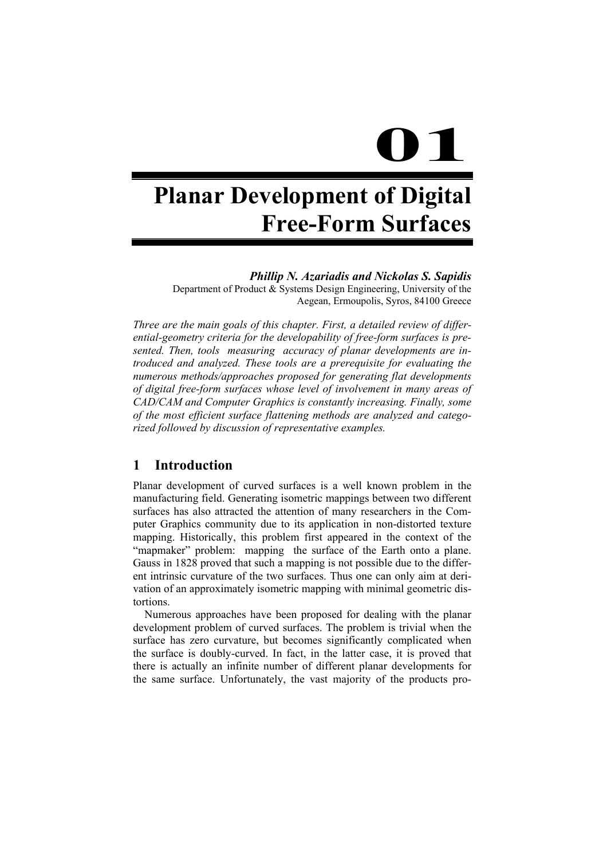# **01**

# **Planar Development of Digital Free-Form Surfaces**

*Phillip N. Azariadis and Nickolas S. Sapidis* 

Department of Product & Systems Design Engineering, University of the Aegean, Ermoupolis, Syros, 84100 Greece

*Three are the main goals of this chapter. First, a detailed review of differential-geometry criteria for the developability of free-form surfaces is presented. Then, tools measuring accuracy of planar developments are introduced and analyzed. These tools are a prerequisite for evaluating the numerous methods/approaches proposed for generating flat developments of digital free-form surfaces whose level of involvement in many areas of CAD/CAM and Computer Graphics is constantly increasing. Finally, some of the most efficient surface flattening methods are analyzed and categorized followed by discussion of representative examples.* 

# **1 Introduction**

Planar development of curved surfaces is a well known problem in the manufacturing field. Generating isometric mappings between two different surfaces has also attracted the attention of many researchers in the Computer Graphics community due to its application in non-distorted texture mapping. Historically, this problem first appeared in the context of the "mapmaker" problem: mapping the surface of the Earth onto a plane. Gauss in 1828 proved that such a mapping is not possible due to the different intrinsic curvature of the two surfaces. Thus one can only aim at derivation of an approximately isometric mapping with minimal geometric distortions.

Numerous approaches have been proposed for dealing with the planar development problem of curved surfaces. The problem is trivial when the surface has zero curvature, but becomes significantly complicated when the surface is doubly-curved. In fact, in the latter case, it is proved that there is actually an infinite number of different planar developments for the same surface. Unfortunately, the vast majority of the products pro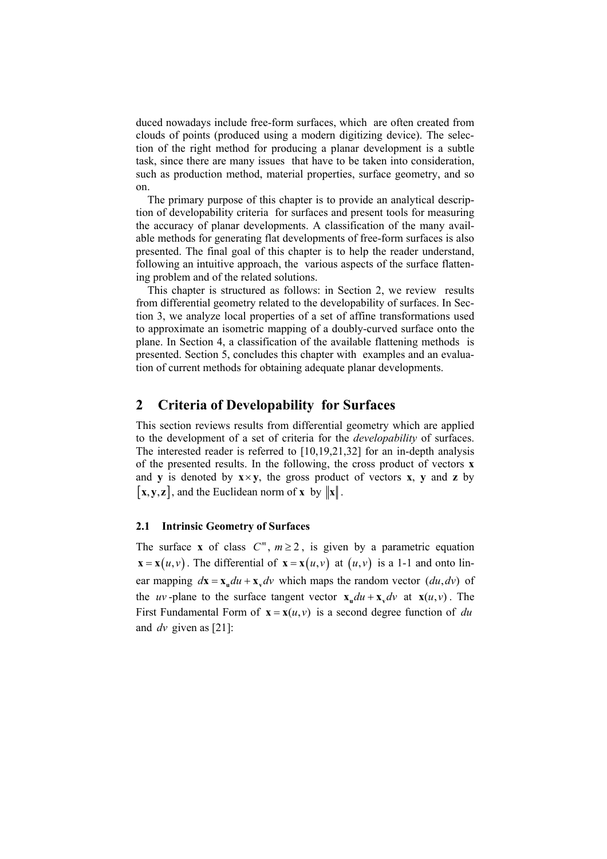duced nowadays include free-form surfaces, which are often created from clouds of points (produced using a modern digitizing device). The selection of the right method for producing a planar development is a subtle task, since there are many issues that have to be taken into consideration, such as production method, material properties, surface geometry, and so on.

The primary purpose of this chapter is to provide an analytical description of developability criteria for surfaces and present tools for measuring the accuracy of planar developments. A classification of the many available methods for generating flat developments of free-form surfaces is also presented. The final goal of this chapter is to help the reader understand, following an intuitive approach, the various aspects of the surface flattening problem and of the related solutions.

This chapter is structured as follows: in Section 2, we review results from differential geometry related to the developability of surfaces. In Section 3, we analyze local properties of a set of affine transformations used to approximate an isometric mapping of a doubly-curved surface onto the plane. In Section 4, a classification of the available flattening methods is presented. Section 5, concludes this chapter with examples and an evaluation of current methods for obtaining adequate planar developments.

# **2 Criteria of Developability for Surfaces**

This section reviews results from differential geometry which are applied to the development of a set of criteria for the *developability* of surfaces. The interested reader is referred to [10,19,21,32] for an in-depth analysis of the presented results. In the following, the cross product of vectors **x** and **y** is denoted by  $\mathbf{x} \times \mathbf{y}$ , the gross product of vectors **x**, **y** and **z** by  $[\mathbf{x}, \mathbf{y}, \mathbf{z}]$ , and the Euclidean norm of  $\mathbf{x}$  by  $\|\mathbf{x}\|$ .

### **2.1 Intrinsic Geometry of Surfaces**

The surface **x** of class  $C^m$ ,  $m \ge 2$ , is given by a parametric equation  $\mathbf{x} = \mathbf{x}(u, v)$ . The differential of  $\mathbf{x} = \mathbf{x}(u, v)$  at  $(u, v)$  is a 1-1 and onto linear mapping  $d\mathbf{x} = \mathbf{x}_u du + \mathbf{x}_v dv$  which maps the random vector  $(du, dv)$  of the *uv*-plane to the surface tangent vector  $\mathbf{x}_u du + \mathbf{x}_v dv$  at  $\mathbf{x}(u, v)$ . The First Fundamental Form of  $\mathbf{x} = \mathbf{x}(u, v)$  is a second degree function of *du* and *dv* given as [21]: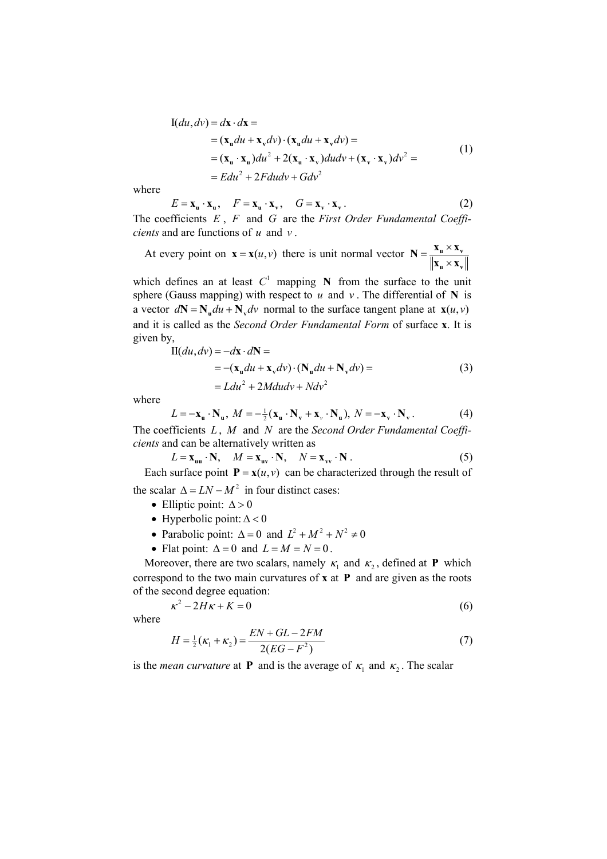$$
I(du, dv) = d\mathbf{x} \cdot d\mathbf{x} =
$$
  
=  $(\mathbf{x}_u du + \mathbf{x}_v dv) \cdot (\mathbf{x}_u du + \mathbf{x}_v dv) =$   
=  $(\mathbf{x}_u \cdot \mathbf{x}_u) du^2 + 2(\mathbf{x}_u \cdot \mathbf{x}_v) du dv + (\mathbf{x}_v \cdot \mathbf{x}_v) dv^2 =$   
=  $E du^2 + 2F du dv + G dv^2$  (1)

where

$$
E = \mathbf{x}_{\mathbf{u}} \cdot \mathbf{x}_{\mathbf{u}}, \quad F = \mathbf{x}_{\mathbf{u}} \cdot \mathbf{x}_{\mathbf{v}}, \quad G = \mathbf{x}_{\mathbf{v}} \cdot \mathbf{x}_{\mathbf{v}}.
$$
 (2)

The coefficients *E* , *F* and *G* are the *First Order Fundamental Coefficients* and are functions of *u* and *v* .

At every point on  $\mathbf{x} = \mathbf{x}(u, v)$  there is unit normal vector  $\mathbf{N} = \frac{\mathbf{x}_u \times \mathbf{x}_v}{\|\mathbf{x}_u \times \mathbf{x}_v\|}$  $\mathbf{u} \wedge \mathbf{v}$  $\mathbf{N} = \frac{\mathbf{X}_{\mathbf{u}} \times \mathbf{X}}{\mathbf{u}}$  $\mathbf{x}_{\mathrm{u}} \times \mathbf{x}$ 

which defines an at least  $C<sup>1</sup>$  mapping **N** from the surface to the unit sphere (Gauss mapping) with respect to  $u$  and  $v$ . The differential of **N** is a vector  $dN = N_u du + N_v dv$  normal to the surface tangent plane at  $\mathbf{x}(u, v)$ and it is called as the *Second Order Fundamental Form* of surface **x**. It is given by,

$$
\begin{aligned} \n\Pi(du, dv) &= -d\mathbf{x} \cdot d\mathbf{N} = \\ \n&= -(\mathbf{x}_u du + \mathbf{x}_v dv) \cdot (\mathbf{N}_u du + \mathbf{N}_v dv) = \\ \n&= Ldu^2 + 2Mdudv + Ndv^2 \n\end{aligned} \tag{3}
$$

where

$$
L = -\mathbf{x}_{\mathbf{u}} \cdot \mathbf{N}_{\mathbf{u}}, \ M = -\frac{1}{2} (\mathbf{x}_{\mathbf{u}} \cdot \mathbf{N}_{\mathbf{v}} + \mathbf{x}_{\mathbf{v}} \cdot \mathbf{N}_{\mathbf{u}}), \ N = -\mathbf{x}_{\mathbf{v}} \cdot \mathbf{N}_{\mathbf{v}}.
$$
 (4)

The coefficients *L* , *M* and *N* are the *Second Order Fundamental Coefficients* and can be alternatively written as

$$
L = \mathbf{x}_{\mathbf{u}\mathbf{u}} \cdot \mathbf{N}, \quad M = \mathbf{x}_{\mathbf{u}\mathbf{v}} \cdot \mathbf{N}, \quad N = \mathbf{x}_{\mathbf{v}\mathbf{v}} \cdot \mathbf{N} \,. \tag{5}
$$

Each surface point  $P = x(u, v)$  can be characterized through the result of the scalar  $\Delta = LN - M^2$  in four distinct cases:

- Elliptic point:  $\Delta > 0$
- Hyperbolic point:  $\Delta < 0$
- Parabolic point:  $\Delta = 0$  and  $L^2 + M^2 + N^2 \neq 0$
- Flat point:  $\Delta = 0$  and  $L = M = N = 0$ .

Moreover, there are two scalars, namely  $\kappa_1$  and  $\kappa_2$ , defined at **P** which correspond to the two main curvatures of **x** at **P** and are given as the roots of the second degree equation:

$$
\kappa^2 - 2H\kappa + K = 0\tag{6}
$$

where

$$
H = \frac{1}{2}(\kappa_1 + \kappa_2) = \frac{EN + GL - 2FM}{2(EG - F^2)}
$$
(7)

is the *mean curvature* at **P** and is the average of  $\kappa_1$  and  $\kappa_2$ . The scalar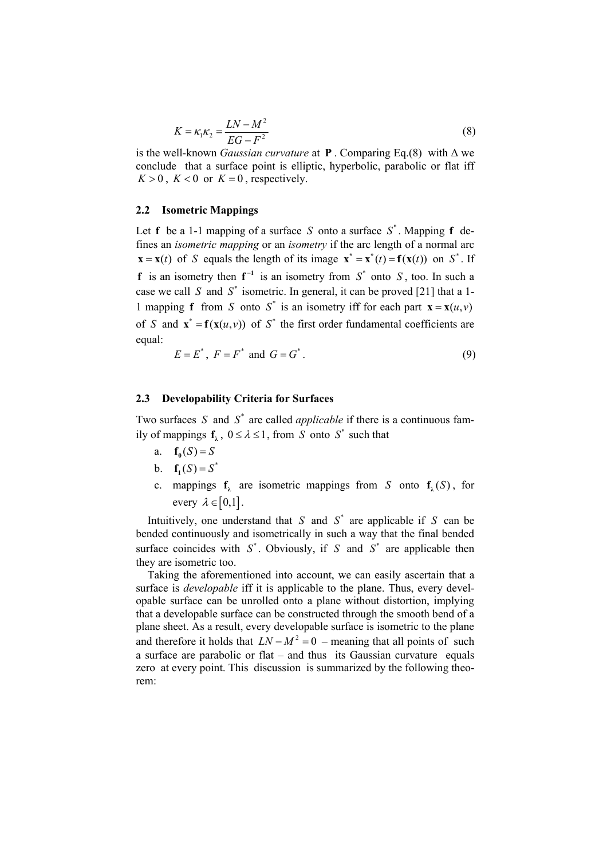$$
K = \kappa_1 \kappa_2 = \frac{LN - M^2}{EG - F^2}
$$
\n<sup>(8)</sup>

is the well-known *Gaussian curvature* at **P**. Comparing Eq.(8) with  $\Delta$  we conclude that a surface point is elliptic, hyperbolic, parabolic or flat iff  $K > 0$ ,  $K < 0$  or  $K = 0$ , respectively.

#### **2.2 Isometric Mappings**

Let **f** be a 1-1 mapping of a surface *S* onto a surface  $S^*$ . Mapping **f** defines an *isometric mapping* or an *isometry* if the arc length of a normal arc  $\mathbf{x} = \mathbf{x}(t)$  of *S* equals the length of its image  $\mathbf{x}^* = \mathbf{x}^*(t) = \mathbf{f}(\mathbf{x}(t))$  on  $S^*$ . If **f** is an isometry then  $f^{-1}$  is an isometry from  $S^*$  onto  $S$ , too. In such a case we call *S* and  $S^*$  isometric. In general, it can be proved [21] that a 1-1 mapping **f** from *S* onto  $S^*$  is an isometry iff for each part  $\mathbf{x} = \mathbf{x}(u, v)$ of *S* and  $\mathbf{x}^* = \mathbf{f}(\mathbf{x}(u, v))$  of *S*<sup>\*</sup> the first order fundamental coefficients are equal:  $E = E^*, F = F^* \text{ and } G = G^*.$  (9)

$$
E = E^*, \ F = F^* \text{ and } G = G^*.
$$
 (9)

## **2.3 Developability Criteria for Surfaces**

Two surfaces *S* and  $S^*$  are called *applicable* if there is a continuous family of mappings  $f_1$ ,  $0 \le \lambda \le 1$ , from *S* onto  $S^*$  such that

- a. **f**<sub>0</sub> $(S) = S$
- b.  $f_1(S) = S^*$
- c. mappings  $f_1$  are isometric mappings from *S* onto  $f_1(S)$ , for every  $\lambda \in [0,1]$ .

Intuitively, one understand that *S* and  $S^*$  are applicable if *S* can be bended continuously and isometrically in such a way that the final bended surface coincides with  $S^*$ , Obviously, if *S* and  $S^*$  are applicable then they are isometric too.

Taking the aforementioned into account, we can easily ascertain that a surface is *developable* iff it is applicable to the plane. Thus, every developable surface can be unrolled onto a plane without distortion, implying that a developable surface can be constructed through the smooth bend of a plane sheet. As a result, every developable surface is isometric to the plane and therefore it holds that  $LN - M^2 = 0$  – meaning that all points of such a surface are parabolic or flat – and thus its Gaussian curvature equals zero at every point. This discussion is summarized by the following theorem: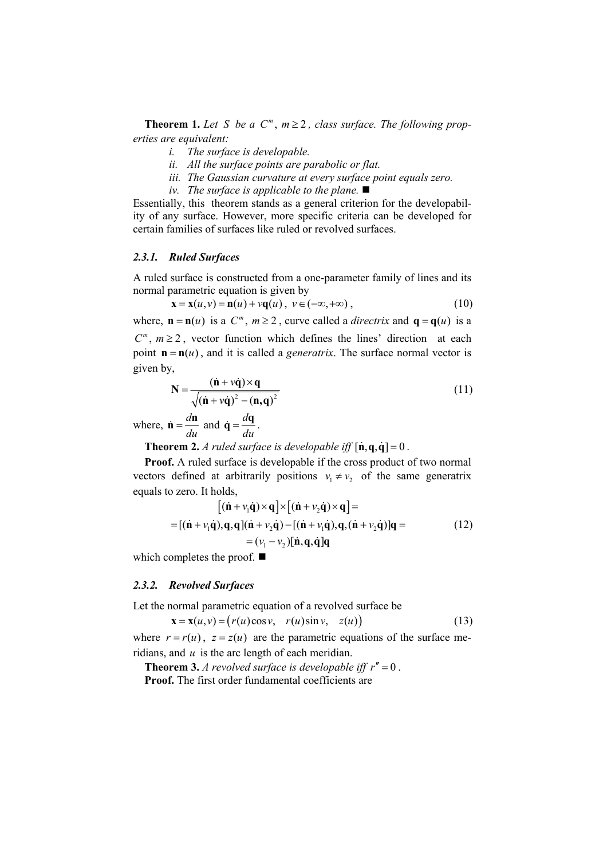**Theorem 1.** Let S be a  $C^m$ ,  $m \geq 2$ , class surface. The following prop*erties are equivalent:* 

- *i. The surface is developable.*
- *ii. All the surface points are parabolic or flat.*
- *iii. The Gaussian curvature at every surface point equals zero.*
- *iv. The surface is applicable to the plane.*

Essentially, this theorem stands as a general criterion for the developability of any surface. However, more specific criteria can be developed for certain families of surfaces like ruled or revolved surfaces.

#### *2.3.1. Ruled Surfaces*

A ruled surface is constructed from a one-parameter family of lines and its normal parametric equation is given by

$$
\mathbf{x} = \mathbf{x}(u, v) = \mathbf{n}(u) + v\mathbf{q}(u), \ v \in (-\infty, +\infty), \tag{10}
$$

where,  $\mathbf{n} = \mathbf{n}(u)$  is a  $C^m$ ,  $m \ge 2$ , curve called a *directrix* and  $\mathbf{q} = \mathbf{q}(u)$  is a

 $C^m$ ,  $m \ge 2$ , vector function which defines the lines' direction at each point  $\mathbf{n} = \mathbf{n}(u)$ , and it is called a *generatrix*. The surface normal vector is given by,

$$
N = \frac{(\dot{n} + v\dot{q}) \times q}{\sqrt{(\dot{n} + v\dot{q})^2 - (n,q)^2}}
$$
(11)

where,  $\dot{\mathbf{n}} = \frac{d\mathbf{n}}{du}$  and  $\dot{\mathbf{q}} = \frac{d\mathbf{q}}{du}$ .

**Theorem 2.** *A ruled surface is developable iff*  $[\dot{\mathbf{n}}, \dot{\mathbf{q}}, \dot{\mathbf{q}}] = 0$ .

**Proof.** A ruled surface is developable if the cross product of two normal vectors defined at arbitrarily positions  $v_1 \neq v_2$  of the same generatrix equals to zero. It holds,

$$
[(\dot{\mathbf{n}} + v_1 \dot{\mathbf{q}}) \times \mathbf{q}] \times [(\dot{\mathbf{n}} + v_2 \dot{\mathbf{q}}) \times \mathbf{q}] =
$$
  
= [(\dot{\mathbf{n}} + v\_1 \dot{\mathbf{q}}), \mathbf{q}, \mathbf{q}] (\dot{\mathbf{n}} + v\_2 \dot{\mathbf{q}}) - [(\dot{\mathbf{n}} + v\_1 \dot{\mathbf{q}}), \mathbf{q}, (\dot{\mathbf{n}} + v\_2 \dot{\mathbf{q}})]\mathbf{q} =  
= (v\_1 - v\_2)[\dot{\mathbf{n}}, \mathbf{q}, \dot{\mathbf{q}}] \mathbf{q} \t\t(12)

which completes the proof.  $\blacksquare$ 

#### *2.3.2. Revolved Surfaces*

Let the normal parametric equation of a revolved surface be

$$
\mathbf{x} = \mathbf{x}(u, v) = (r(u)\cos v, r(u)\sin v, z(u))
$$
\n(13)

where  $r = r(u)$ ,  $z = z(u)$  are the parametric equations of the surface meridians, and *u* is the arc length of each meridian.

**Theorem 3.** *A revolved surface is developable iff*  $r'' = 0$ . **Proof.** The first order fundamental coefficients are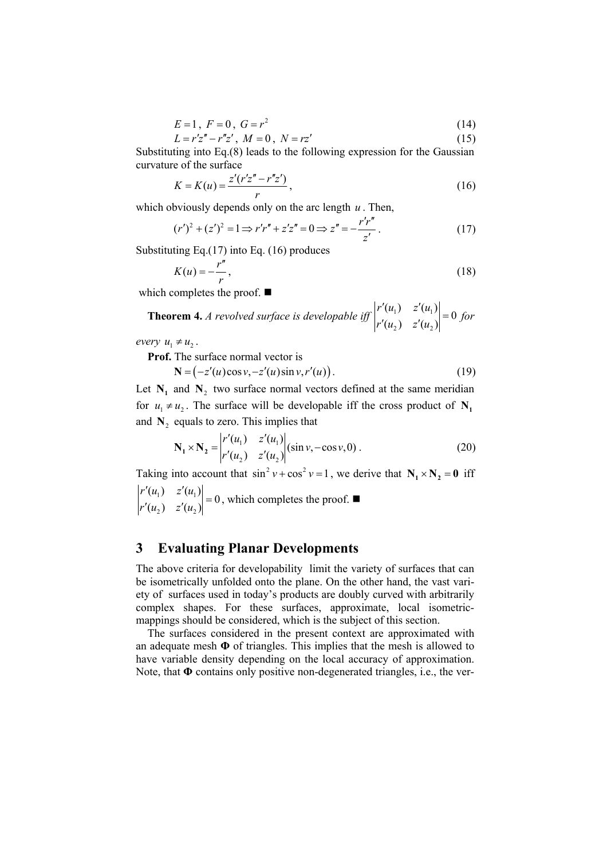$$
E = 1, F = 0, G = r^2 \tag{14}
$$

$$
L = r'z'' - r''z', \ M = 0, \ N = rz'
$$
 (15)

Substituting into Eq.(8) leads to the following expression for the Gaussian curvature of the surface

$$
K = K(u) = \frac{z'(r'z'' - r''z')}{r},
$$
\n(16)

which obviously depends only on the arc length *u* . Then,

$$
(r')^{2} + (z')^{2} = 1 \Longrightarrow r'r'' + z'z'' = 0 \Longrightarrow z'' = -\frac{r'r''}{z'}.
$$
 (17)

Substituting Eq.(17) into Eq. (16) produces

$$
K(u) = -\frac{r''}{r},\tag{18}
$$

which completes the proof. ■

**Theorem 4.** A revolved surface is developable iff 
$$
\begin{vmatrix} r'(u_1) & z'(u_1) \\ r'(u_2) & z'(u_2) \end{vmatrix} = 0
$$
 for

*every*  $u_1 \neq u_2$ .

**Prof.** The surface normal vector is

 $N = (-z'(u)\cos v, -z'(u)\sin v, r'(u)).$  (19)

Let  $N_1$  and  $N_2$  two surface normal vectors defined at the same meridian for  $u_1 \neq u_2$ . The surface will be developable iff the cross product of  $N_1$ and  $N<sub>2</sub>$  equals to zero. This implies that

$$
\mathbf{N}_1 \times \mathbf{N}_2 = \begin{vmatrix} r'(u_1) & z'(u_1) \\ r'(u_2) & z'(u_2) \end{vmatrix} (\sin v, -\cos v, 0) . \tag{20}
$$

Taking into account that  $\sin^2 v + \cos^2 v = 1$ , we derive that  $N_1 \times N_2 = 0$  iff 1)  $\leq$   $\left\langle u_1 \right\rangle$ 2)  $2(u_2)$  $(u_1)$   $z'(u_1)$  = 0  $(u_2)$   $z'(u_2)$  $r'(u_1)$   $z'(u)$  $r'(u_1) = z'(u_1)$ <br>  $r'(u_2) = z'(u_2) = 0$ , which completes the proof.

# **3 Evaluating Planar Developments**

The above criteria for developability limit the variety of surfaces that can be isometrically unfolded onto the plane. On the other hand, the vast variety of surfaces used in today's products are doubly curved with arbitrarily complex shapes. For these surfaces, approximate, local isometricmappings should be considered, which is the subject of this section.

The surfaces considered in the present context are approximated with an adequate mesh **Φ** of triangles. This implies that the mesh is allowed to have variable density depending on the local accuracy of approximation. Note, that **Φ** contains only positive non-degenerated triangles, i.e., the ver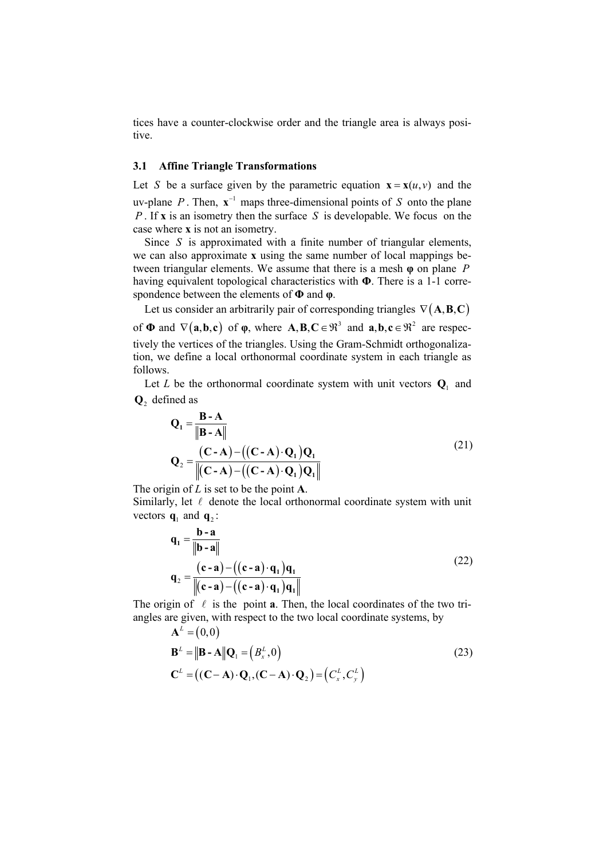tices have a counter-clockwise order and the triangle area is always positive.

#### **3.1 Affine Triangle Transformations**

Let *S* be a surface given by the parametric equation  $\mathbf{x} = \mathbf{x}(u, v)$  and the uv-plane *P*. Then,  $\mathbf{x}^{-1}$  maps three-dimensional points of *S* onto the plane *P* . If **x** is an isometry then the surface *S* is developable. We focus on the case where **x** is not an isometry.

Since *S* is approximated with a finite number of triangular elements, we can also approximate **x** using the same number of local mappings between triangular elements. We assume that there is a mesh **φ** on plane *P* having equivalent topological characteristics with **Φ**. There is a 1-1 correspondence between the elements of **Φ** and **φ**.

Let us consider an arbitrarily pair of corresponding triangles  $\nabla$ (**A,B,C**) of  $\Phi$  and  $\nabla$ (**a**,**b**,**c**) of  $\phi$ , where  $\mathbf{A}, \mathbf{B}, \mathbf{C} \in \mathbb{R}^3$  and  $\mathbf{a}, \mathbf{b}, \mathbf{c} \in \mathbb{R}^2$  are respectively the vertices of the triangles. Using the Gram-Schmidt orthogonalization, we define a local orthonormal coordinate system in each triangle as follows.

Let *L* be the orthonormal coordinate system with unit vectors  $Q_1$  and **Q**2 defined as

$$
Q_{1} = \frac{\mathbf{B} - \mathbf{A}}{\|\mathbf{B} - \mathbf{A}\|}
$$
  

$$
Q_{2} = \frac{(\mathbf{C} - \mathbf{A}) - ((\mathbf{C} - \mathbf{A}) \cdot \mathbf{Q}_{1}) \mathbf{Q}_{1}}{\|(\mathbf{C} - \mathbf{A}) - ((\mathbf{C} - \mathbf{A}) \cdot \mathbf{Q}_{1}) \mathbf{Q}_{1}\|}
$$
 (21)

The origin of *L* is set to be the point **A**.

Similarly, let  $\ell$  denote the local orthonormal coordinate system with unit vectors  $\mathbf{q}_1$  and  $\mathbf{q}_2$ :

$$
\mathbf{q}_1 = \frac{\mathbf{b} - \mathbf{a}}{\|\mathbf{b} - \mathbf{a}\|}
$$
  
\n
$$
\mathbf{q}_2 = \frac{(\mathbf{c} - \mathbf{a}) - ((\mathbf{c} - \mathbf{a}) \cdot \mathbf{q}_1) \mathbf{q}_1}{\|(\mathbf{c} - \mathbf{a}) - ((\mathbf{c} - \mathbf{a}) \cdot \mathbf{q}_1) \mathbf{q}_1\|}
$$
\n(22)

The origin of  $\ell$  is the point **a**. Then, the local coordinates of the two triangles are given, with respect to the two local coordinate systems, by

$$
\mathbf{A}^{L} = (0,0)
$$
  
\n
$$
\mathbf{B}^{L} = ||\mathbf{B} - \mathbf{A}||\mathbf{Q}_{1} = (B_{x}^{L}, 0)
$$
  
\n
$$
\mathbf{C}^{L} = ((\mathbf{C} - \mathbf{A}) \cdot \mathbf{Q}_{1}, (\mathbf{C} - \mathbf{A}) \cdot \mathbf{Q}_{2}) = (C_{x}^{L}, C_{y}^{L})
$$
\n(23)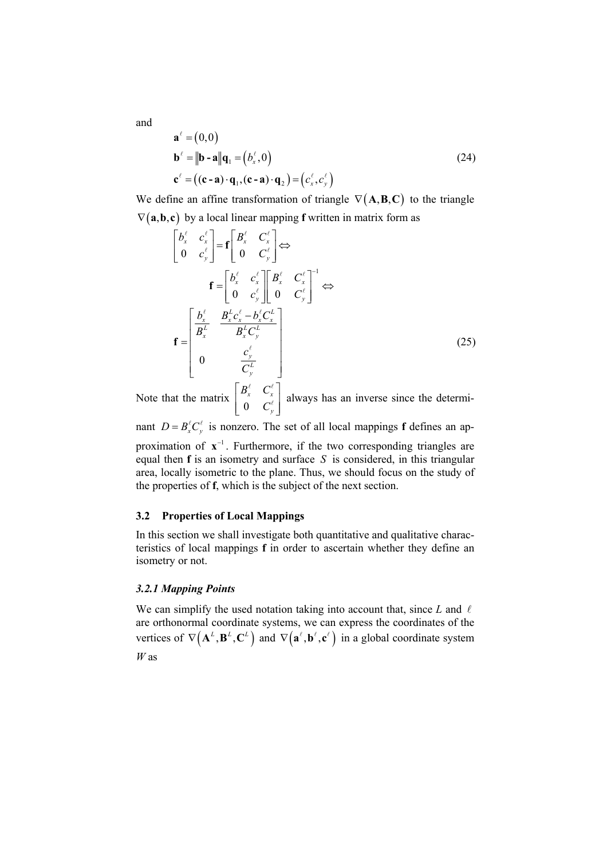$$
\mathbf{a}^{\ell} = (0,0)
$$
  
\n
$$
\mathbf{b}^{\ell} = ||\mathbf{b} - \mathbf{a}||\mathbf{q}_1 = (b_x^{\ell}, 0)
$$
  
\n
$$
\mathbf{c}^{\ell} = ((\mathbf{c} - \mathbf{a}) \cdot \mathbf{q}_1, (\mathbf{c} - \mathbf{a}) \cdot \mathbf{q}_2) = (c_x^{\ell}, c_y^{\ell})
$$
\n(24)

We define an affine transformation of triangle  $\nabla$ (**A,B,C**) to the triangle  $\nabla$ (**a**,**b**,**c**) by a local linear mapping **f** written in matrix form as

$$
\begin{bmatrix} b_x^{\ell} & c_x^{\ell} \\ 0 & c_y^{\ell} \end{bmatrix} = \mathbf{f} \begin{bmatrix} B_x^{\ell} & C_x^{\ell} \\ 0 & C_y^{\ell} \end{bmatrix} \Leftrightarrow
$$
\n
$$
\mathbf{f} = \begin{bmatrix} b_x^{\ell} & c_x^{\ell} \\ 0 & c_y^{\ell} \end{bmatrix} \begin{bmatrix} B_x^{\ell} & C_x^{\ell} \\ 0 & C_y^{\ell} \end{bmatrix}^{-1} \Leftrightarrow
$$
\n
$$
\mathbf{f} = \begin{bmatrix} \frac{b_x^{\ell}}{B_x^{\ell}} & \frac{B_x^{\ell}c_x^{\ell} - b_x^{\ell}C_x^{\ell}}{B_x^{\ell}C_y^{\ell}} \\ 0 & \frac{c_y^{\ell}}{C_y^{\ell}} \end{bmatrix}
$$
\n
$$
\mathbf{f} = \begin{bmatrix} b_x^{\ell} & b_x^{\ell} & c_y^{\ell} \\ 0 & \frac{c_y^{\ell}}{C_y^{\ell}} \end{bmatrix}
$$
\n
$$
\begin{bmatrix} b_{\ell}^{\ell} & c_{\ell}^{\ell} \end{bmatrix}
$$
\n
$$
(25)
$$

Note that the matrix 0 *x x y*  $B_r^{\ell}$  *C C*  $B^\ell$ ,  $C^\ell$ ,  $\left[\begin{array}{ccc} \texttt{a} & \texttt{c} \ \texttt{0} & \texttt{C}_y^\ell \end{array} \right]$  $\frac{x}{\ell}$  always has an inverse since the determi-

nant  $D = B_x^{\ell} C_y^{\ell}$  is nonzero. The set of all local mappings **f** defines an approximation of  $\mathbf{x}^{-1}$ . Furthermore, if the two corresponding triangles are equal then **f** is an isometry and surface *S* is considered, in this triangular area, locally isometric to the plane. Thus, we should focus on the study of the properties of **f**, which is the subject of the next section.

#### **3.2 Properties of Local Mappings**

In this section we shall investigate both quantitative and qualitative characteristics of local mappings **f** in order to ascertain whether they define an isometry or not.

#### *3.2.1 Mapping Points*

We can simplify the used notation taking into account that, since  $L$  and  $\ell$ are orthonormal coordinate systems, we can express the coordinates of the vertices of  $\nabla (\mathbf{A}^L, \mathbf{B}^L, \mathbf{C}^L)$  and  $\nabla (\mathbf{a}^{\ell}, \mathbf{b}^{\ell}, \mathbf{c}^{\ell})$  in a global coordinate system *W* as

and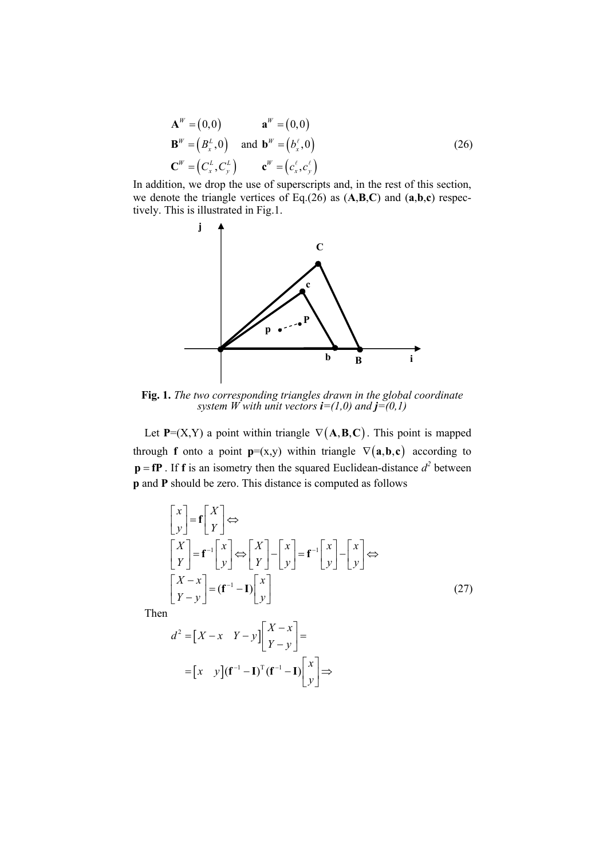$$
\mathbf{A}^W = (0,0) \qquad \mathbf{a}^W = (0,0)
$$
  
\n
$$
\mathbf{B}^W = (B_x^L, 0) \qquad \text{and} \quad \mathbf{b}^W = (b_x^{\ell}, 0)
$$
  
\n
$$
\mathbf{C}^W = (C_x^L, C_y^L) \qquad \mathbf{c}^W = (c_x^{\ell}, c_y^{\ell})
$$
\n(26)

In addition, we drop the use of superscripts and, in the rest of this section, we denote the triangle vertices of Eq.(26) as (**A**,**B**,**C**) and (**a**,**b**,**c**) respectively. This is illustrated in Fig.1.



**Fig. 1.** *The two corresponding triangles drawn in the global coordinate system W with unit vectors*  $\mathbf{i}=(1,0)$  *and*  $\mathbf{j}=(0,1)$ 

Let  $P=(X,Y)$  a point within triangle  $\nabla(A,B,C)$ . This point is mapped through **f** onto a point **p**=(x,y) within triangle  $\nabla$ (**a**,**b**,**c**) according to  $\mathbf{p} = \mathbf{fP}$ . If **f** is an isometry then the squared Euclidean-distance  $d^2$  between **p** and **P** should be zero. This distance is computed as follows

$$
\begin{bmatrix} x \\ y \end{bmatrix} = \mathbf{f} \begin{bmatrix} X \\ Y \end{bmatrix} \Leftrightarrow
$$
\n
$$
\begin{bmatrix} X \\ Y \end{bmatrix} = \mathbf{f}^{-1} \begin{bmatrix} x \\ y \end{bmatrix} \Leftrightarrow \begin{bmatrix} X \\ Y \end{bmatrix} - \begin{bmatrix} x \\ y \end{bmatrix} = \mathbf{f}^{-1} \begin{bmatrix} x \\ y \end{bmatrix} - \begin{bmatrix} x \\ y \end{bmatrix} \Leftrightarrow
$$
\n
$$
\begin{bmatrix} X - x \\ Y - y \end{bmatrix} = (\mathbf{f}^{-1} - \mathbf{I}) \begin{bmatrix} x \\ y \end{bmatrix}
$$
\n(27)

Then

$$
d^{2} = \begin{bmatrix} X - x & Y - y \end{bmatrix} \begin{bmatrix} X - x \\ Y - y \end{bmatrix} =
$$

$$
= \begin{bmatrix} x & y \end{bmatrix} (\mathbf{f}^{-1} - \mathbf{I})^{T} (\mathbf{f}^{-1} - \mathbf{I}) \begin{bmatrix} x \\ y \end{bmatrix} \Rightarrow
$$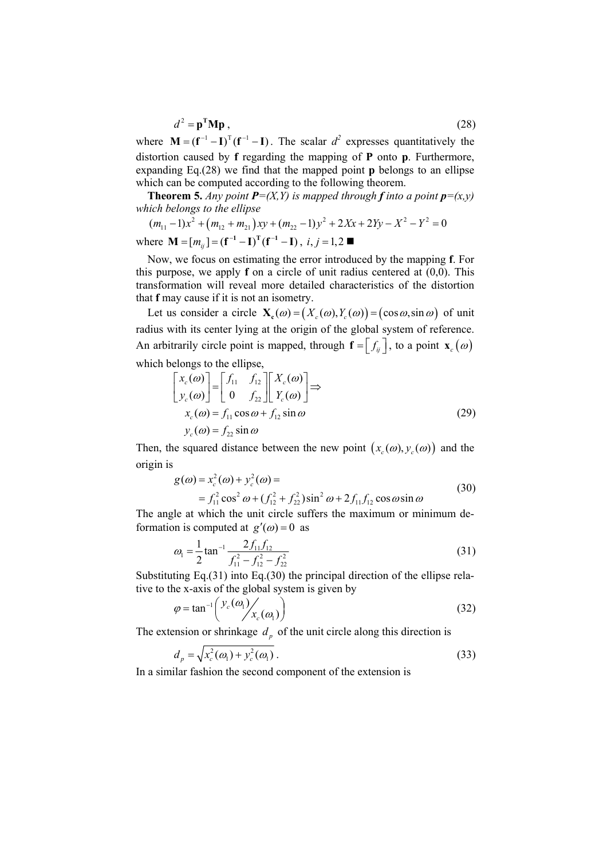$$
d^2 = \mathbf{p}^{\mathrm{T}} \mathbf{M} \mathbf{p} \tag{28}
$$

where  $M = (f^{-1} - I)^T (f^{-1} - I)$ . The scalar  $d^2$  expresses quantitatively the distortion caused by **f** regarding the mapping of **P** onto **p**. Furthermore, expanding Eq.(28) we find that the mapped point **p** belongs to an ellipse which can be computed according to the following theorem.

**Theorem 5.** Any point  $P=(X, Y)$  is mapped through **f** into a point  $p=(x, y)$ *which belongs to the ellipse* 

$$
(m_{11}-1)x^{2} + (m_{12}+m_{21})xy + (m_{22}-1)y^{2} + 2Xx + 2Yy - X^{2} - Y^{2} = 0
$$

where **M** =  $[m_{ij}]$  =  $(f^{-1} – I)^T(f^{-1} – I)$ , *i*, *j* = 1,2 ■

Now, we focus on estimating the error introduced by the mapping **f**. For this purpose, we apply **f** on a circle of unit radius centered at (0,0). This transformation will reveal more detailed characteristics of the distortion that **f** may cause if it is not an isometry.

Let us consider a circle  $\mathbf{X}_c(\omega) = (X_c(\omega), Y_c(\omega)) = (\cos \omega, \sin \omega)$  of unit radius with its center lying at the origin of the global system of reference. An arbitrarily circle point is mapped, through  $\mathbf{f} = \begin{bmatrix} f_{ij} \end{bmatrix}$ , to a point  $\mathbf{x}_c(\omega)$ which belongs to the ellipse,

$$
\begin{bmatrix} x_c(\omega) \\ y_c(\omega) \end{bmatrix} = \begin{bmatrix} f_{11} & f_{12} \\ 0 & f_{22} \end{bmatrix} \begin{bmatrix} X_c(\omega) \\ Y_c(\omega) \end{bmatrix} \Rightarrow
$$
  
\n
$$
x_c(\omega) = f_{11} \cos \omega + f_{12} \sin \omega
$$
  
\n
$$
y_c(\omega) = f_{22} \sin \omega
$$
 (29)

Then, the squared distance between the new point  $(x_c(\omega), y_c(\omega))$  and the origin is

$$
g(\omega) = x_c^2(\omega) + y_c^2(\omega) =
$$
  
=  $f_{11}^2 \cos^2 \omega + (f_{12}^2 + f_{22}^2) \sin^2 \omega + 2f_{11}f_{12} \cos \omega \sin \omega$  (30)

The angle at which the unit circle suffers the maximum or minimum deformation is computed at  $g'(\omega) = 0$  as

$$
\omega_1 = \frac{1}{2} \tan^{-1} \frac{2 f_{11} f_{12}}{f_{11}^2 - f_{12}^2 - f_{22}^2}
$$
 (31)

Substituting Eq.(31) into Eq.(30) the principal direction of the ellipse relative to the x-axis of the global system is given by

$$
\varphi = \tan^{-1}\left(\frac{y_c(\omega_1)}{x_c(\omega_1)}\right) \tag{32}
$$

The extension or shrinkage  $d<sub>p</sub>$  of the unit circle along this direction is

$$
d_p = \sqrt{x_c^2(\omega_1) + y_c^2(\omega_1)}.
$$
 (33)

In a similar fashion the second component of the extension is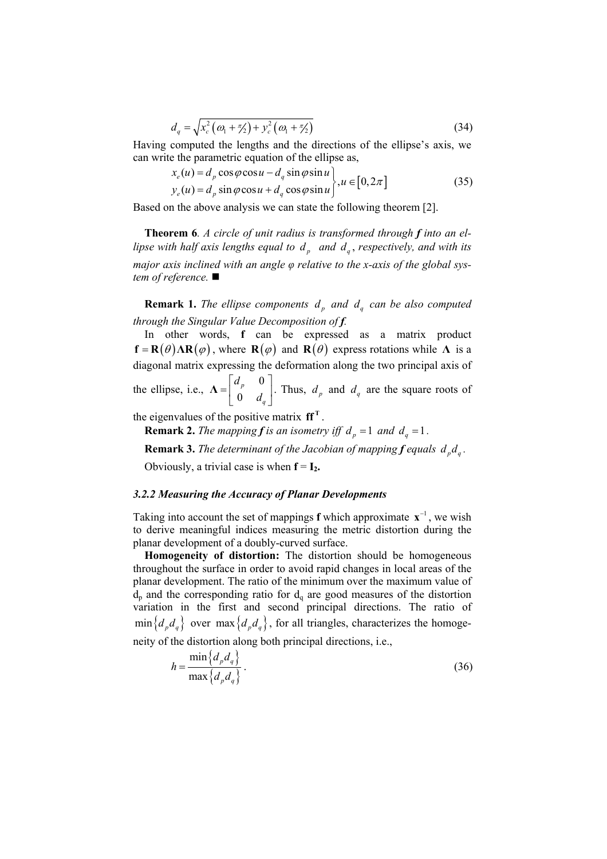$$
d_q = \sqrt{x_c^2(\omega_1 + \frac{\pi}{2}) + y_c^2(\omega_1 + \frac{\pi}{2})}
$$
 (34)

Having computed the lengths and the directions of the ellipse's axis, we can write the parametric equation of the ellipse as,

$$
x_e(u) = d_p \cos \varphi \cos u - d_q \sin \varphi \sin u
$$
  
\n
$$
y_e(u) = d_p \sin \varphi \cos u + d_q \cos \varphi \sin u
$$
,  $u \in [0, 2\pi]$  (35)

Based on the above analysis we can state the following theorem [2].

**Theorem 6***. A circle of unit radius is transformed through f into an ellipse with half axis lengths equal to*  $d_n$  *and*  $d_q$ *, respectively, and with its major axis inclined with an angle φ relative to the x-axis of the global system of reference.* 

**Remark 1.** *The ellipse components*  $d_p$  *and*  $d_q$  *can be also computed through the Singular Value Decomposition of f.* 

In other words, **f** can be expressed as a matrix product  $f = R(\theta) \Delta R(\phi)$ , where  $R(\phi)$  and  $R(\theta)$  express rotations while  $\Lambda$  is a diagonal matrix expressing the deformation along the two principal axis of the ellipse, i.e., 0 0 *p q d*  $=\begin{bmatrix} d_p & 0 \\ 0 & d_q \end{bmatrix}$  $\Lambda = \begin{bmatrix} a & b \\ c & d \end{bmatrix}$ . Thus,  $d_p$  and  $d_q$  are the square roots of

the eigenvalues of the positive matrix  $\mathbf{ff}^T$ .

**Remark 2.** *The mapping f is an isometry iff*  $d_p = 1$  *and*  $d_q = 1$ *.* 

**Remark 3.** *The determinant of the Jacobian of mapping f equals*  $d_p d_q$ *.* 

Obviously, a trivial case is when  $f = I_2$ .

#### *3.2.2 Measuring the Accuracy of Planar Developments*

Taking into account the set of mappings **f** which approximate  $\mathbf{x}^{-1}$ , we wish to derive meaningful indices measuring the metric distortion during the planar development of a doubly-curved surface.

**Homogeneity of distortion:** The distortion should be homogeneous throughout the surface in order to avoid rapid changes in local areas of the planar development. The ratio of the minimum over the maximum value of  $d_p$  and the corresponding ratio for  $d_q$  are good measures of the distortion variation in the first and second principal directions. The ratio of  $\min\{d_p d_q\}$  over  $\max\{d_p d_q\}$ , for all triangles, characterizes the homoge-

neity of the distortion along both principal directions, i.e.,

$$
h = \frac{\min\{d_p d_q\}}{\max\{d_p d_q\}}.
$$
\n(36)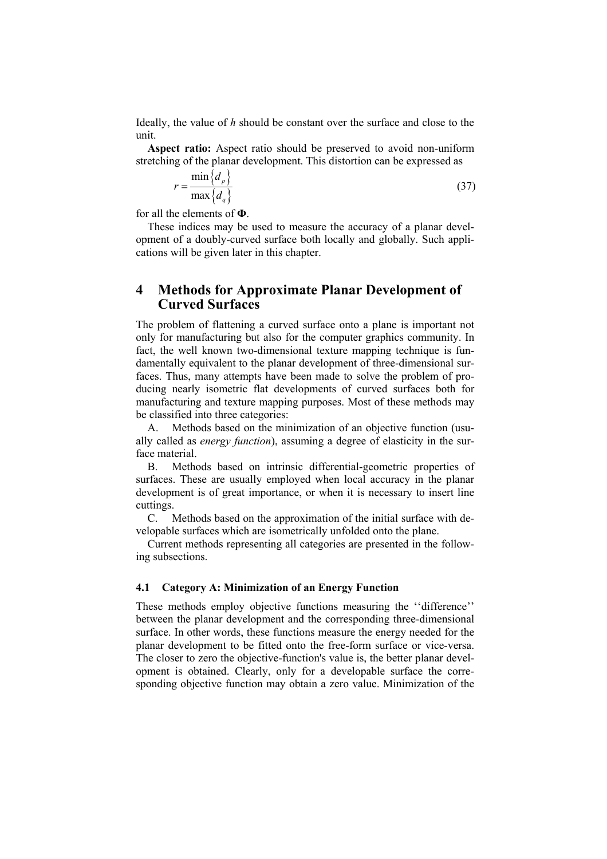Ideally, the value of *h* should be constant over the surface and close to the unit.

**Aspect ratio:** Aspect ratio should be preserved to avoid non-uniform stretching of the planar development. This distortion can be expressed as

$$
r = \frac{\min\{d_p\}}{\max\{d_q\}}\tag{37}
$$

for all the elements of **Φ**.

These indices may be used to measure the accuracy of a planar development of a doubly-curved surface both locally and globally. Such applications will be given later in this chapter.

# **4 Methods for Approximate Planar Development of Curved Surfaces**

The problem of flattening a curved surface onto a plane is important not only for manufacturing but also for the computer graphics community. In fact, the well known two-dimensional texture mapping technique is fundamentally equivalent to the planar development of three-dimensional surfaces. Thus, many attempts have been made to solve the problem of producing nearly isometric flat developments of curved surfaces both for manufacturing and texture mapping purposes. Most of these methods may be classified into three categories:

A. Methods based on the minimization of an objective function (usually called as *energy function*), assuming a degree of elasticity in the surface material.

B. Methods based on intrinsic differential-geometric properties of surfaces. These are usually employed when local accuracy in the planar development is of great importance, or when it is necessary to insert line cuttings.

C. Methods based on the approximation of the initial surface with developable surfaces which are isometrically unfolded onto the plane.

Current methods representing all categories are presented in the following subsections.

#### **4.1 Category A: Minimization of an Energy Function**

These methods employ objective functions measuring the ''difference'' between the planar development and the corresponding three-dimensional surface. In other words, these functions measure the energy needed for the planar development to be fitted onto the free-form surface or vice-versa. The closer to zero the objective-function's value is, the better planar development is obtained. Clearly, only for a developable surface the corresponding objective function may obtain a zero value. Minimization of the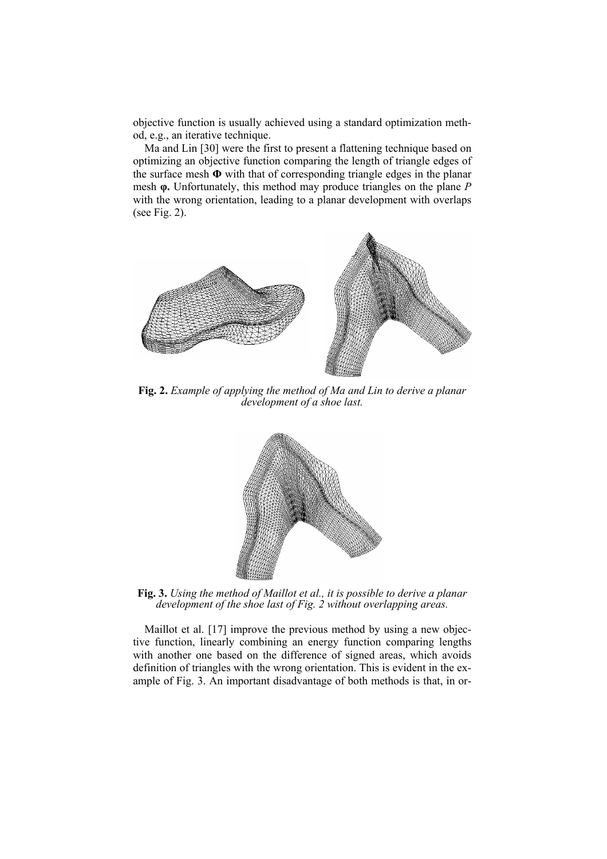objective function is usually achieved using a standard optimization method, e.g., an iterative technique.

Ma and Lin [30] were the first to present a flattening technique based on optimizing an objective function comparing the length of triangle edges of the surface mesh **Φ** with that of corresponding triangle edges in the planar mesh **φ.** Unfortunately, this method may produce triangles on the plane *P* with the wrong orientation, leading to a planar development with overlaps (see Fig. 2).



**Fig. 2.** *Example of applying the method of Ma and Lin to derive a planar development of a shoe last.* 



**Fig. 3.** *Using the method of Maillot et al., it is possible to derive a planar development of the shoe last of Fig. 2 without overlapping areas.* 

Maillot et al. [17] improve the previous method by using a new objective function, linearly combining an energy function comparing lengths with another one based on the difference of signed areas, which avoids definition of triangles with the wrong orientation. This is evident in the example of Fig. 3. An important disadvantage of both methods is that, in or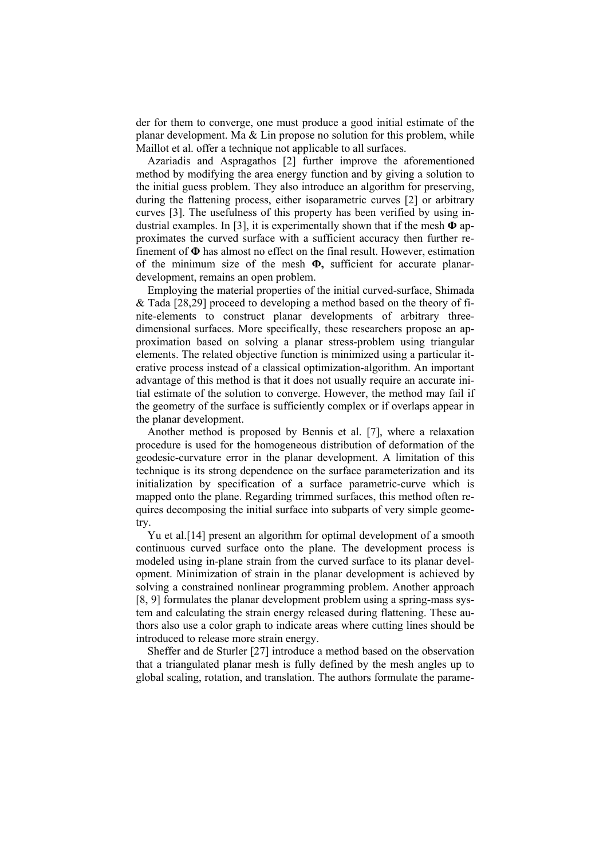der for them to converge, one must produce a good initial estimate of the planar development. Ma & Lin propose no solution for this problem, while Maillot et al. offer a technique not applicable to all surfaces.

Azariadis and Aspragathos [2] further improve the aforementioned method by modifying the area energy function and by giving a solution to the initial guess problem. They also introduce an algorithm for preserving, during the flattening process, either isoparametric curves [2] or arbitrary curves [3]. The usefulness of this property has been verified by using industrial examples. In [3], it is experimentally shown that if the mesh **Φ** approximates the curved surface with a sufficient accuracy then further refinement of **Φ** has almost no effect on the final result. However, estimation of the minimum size of the mesh **Φ,** sufficient for accurate planardevelopment, remains an open problem.

Employing the material properties of the initial curved-surface, Shimada & Tada [28,29] proceed to developing a method based on the theory of finite-elements to construct planar developments of arbitrary threedimensional surfaces. More specifically, these researchers propose an approximation based on solving a planar stress-problem using triangular elements. The related objective function is minimized using a particular iterative process instead of a classical optimization-algorithm. An important advantage of this method is that it does not usually require an accurate initial estimate of the solution to converge. However, the method may fail if the geometry of the surface is sufficiently complex or if overlaps appear in the planar development.

Another method is proposed by Bennis et al. [7], where a relaxation procedure is used for the homogeneous distribution of deformation of the geodesic-curvature error in the planar development. A limitation of this technique is its strong dependence on the surface parameterization and its initialization by specification of a surface parametric-curve which is mapped onto the plane. Regarding trimmed surfaces, this method often requires decomposing the initial surface into subparts of very simple geometry.

Yu et al.[14] present an algorithm for optimal development of a smooth continuous curved surface onto the plane. The development process is modeled using in-plane strain from the curved surface to its planar development. Minimization of strain in the planar development is achieved by solving a constrained nonlinear programming problem. Another approach [8, 9] formulates the planar development problem using a spring-mass system and calculating the strain energy released during flattening. These authors also use a color graph to indicate areas where cutting lines should be introduced to release more strain energy.

Sheffer and de Sturler [27] introduce a method based on the observation that a triangulated planar mesh is fully defined by the mesh angles up to global scaling, rotation, and translation. The authors formulate the parame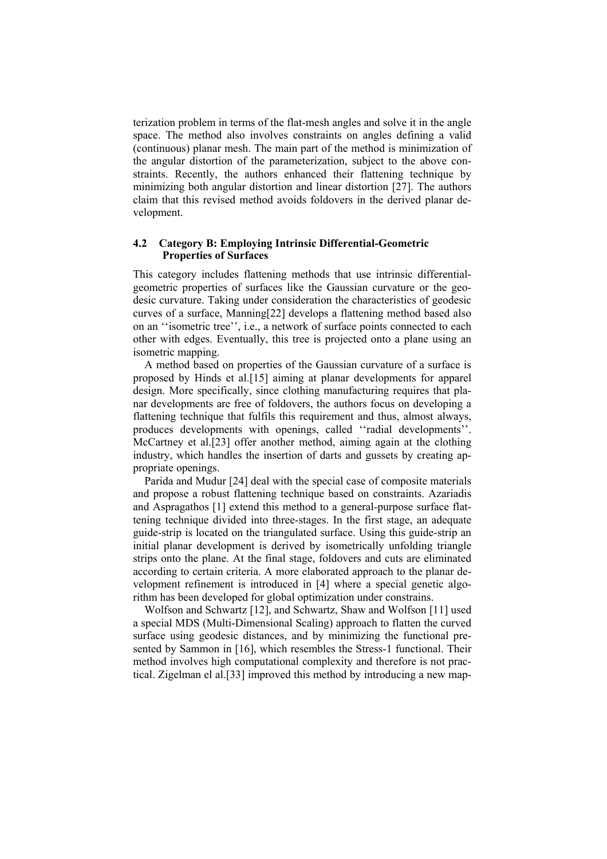terization problem in terms of the flat-mesh angles and solve it in the angle space. The method also involves constraints on angles defining a valid (continuous) planar mesh. The main part of the method is minimization of the angular distortion of the parameterization, subject to the above constraints. Recently, the authors enhanced their flattening technique by minimizing both angular distortion and linear distortion [27]. The authors claim that this revised method avoids foldovers in the derived planar development.

#### **4.2 Category B: Employing Intrinsic Differential-Geometric Properties of Surfaces**

This category includes flattening methods that use intrinsic differentialgeometric properties of surfaces like the Gaussian curvature or the geodesic curvature. Taking under consideration the characteristics of geodesic curves of a surface, Manning[22] develops a flattening method based also on an ''isometric tree'', i.e., a network of surface points connected to each other with edges. Eventually, this tree is projected onto a plane using an isometric mapping.

A method based on properties of the Gaussian curvature of a surface is proposed by Hinds et al.[15] aiming at planar developments for apparel design. More specifically, since clothing manufacturing requires that planar developments are free of foldovers, the authors focus on developing a flattening technique that fulfils this requirement and thus, almost always, produces developments with openings, called ''radial developments''. McCartney et al.[23] offer another method, aiming again at the clothing industry, which handles the insertion of darts and gussets by creating appropriate openings.

Parida and Mudur [24] deal with the special case of composite materials and propose a robust flattening technique based on constraints. Azariadis and Aspragathos [1] extend this method to a general-purpose surface flattening technique divided into three-stages. In the first stage, an adequate guide-strip is located on the triangulated surface. Using this guide-strip an initial planar development is derived by isometrically unfolding triangle strips onto the plane. At the final stage, foldovers and cuts are eliminated according to certain criteria. A more elaborated approach to the planar development refinement is introduced in [4] where a special genetic algorithm has been developed for global optimization under constrains.

Wolfson and Schwartz [12], and Schwartz, Shaw and Wolfson [11] used a special MDS (Multi-Dimensional Scaling) approach to flatten the curved surface using geodesic distances, and by minimizing the functional presented by Sammon in [16], which resembles the Stress-1 functional. Their method involves high computational complexity and therefore is not practical. Zigelman el al.[33] improved this method by introducing a new map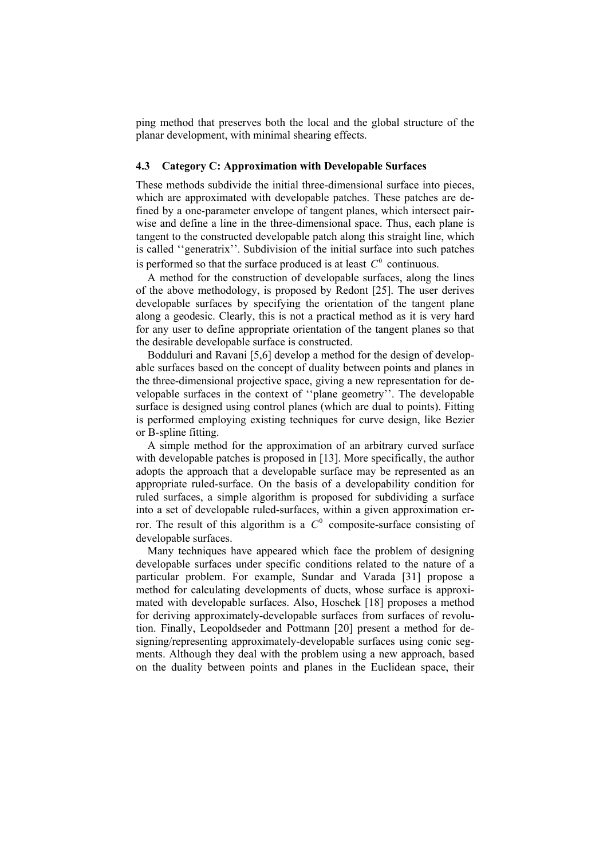ping method that preserves both the local and the global structure of the planar development, with minimal shearing effects.

#### **4.3 Category C: Approximation with Developable Surfaces**

These methods subdivide the initial three-dimensional surface into pieces, which are approximated with developable patches. These patches are defined by a one-parameter envelope of tangent planes, which intersect pairwise and define a line in the three-dimensional space. Thus, each plane is tangent to the constructed developable patch along this straight line, which is called ''generatrix''. Subdivision of the initial surface into such patches is performed so that the surface produced is at least  $C^0$  continuous.

A method for the construction of developable surfaces, along the lines of the above methodology, is proposed by Redont [25]. The user derives developable surfaces by specifying the orientation of the tangent plane along a geodesic. Clearly, this is not a practical method as it is very hard for any user to define appropriate orientation of the tangent planes so that the desirable developable surface is constructed.

Bodduluri and Ravani [5,6] develop a method for the design of developable surfaces based on the concept of duality between points and planes in the three-dimensional projective space, giving a new representation for developable surfaces in the context of ''plane geometry''. The developable surface is designed using control planes (which are dual to points). Fitting is performed employing existing techniques for curve design, like Bezier or B-spline fitting.

A simple method for the approximation of an arbitrary curved surface with developable patches is proposed in [13]. More specifically, the author adopts the approach that a developable surface may be represented as an appropriate ruled-surface. On the basis of a developability condition for ruled surfaces, a simple algorithm is proposed for subdividing a surface into a set of developable ruled-surfaces, within a given approximation error. The result of this algorithm is a  $C^0$  composite-surface consisting of developable surfaces.

Many techniques have appeared which face the problem of designing developable surfaces under specific conditions related to the nature of a particular problem. For example, Sundar and Varada [31] propose a method for calculating developments of ducts, whose surface is approximated with developable surfaces. Also, Hoschek [18] proposes a method for deriving approximately-developable surfaces from surfaces of revolution. Finally, Leopoldseder and Pottmann [20] present a method for designing/representing approximately-developable surfaces using conic segments. Although they deal with the problem using a new approach, based on the duality between points and planes in the Euclidean space, their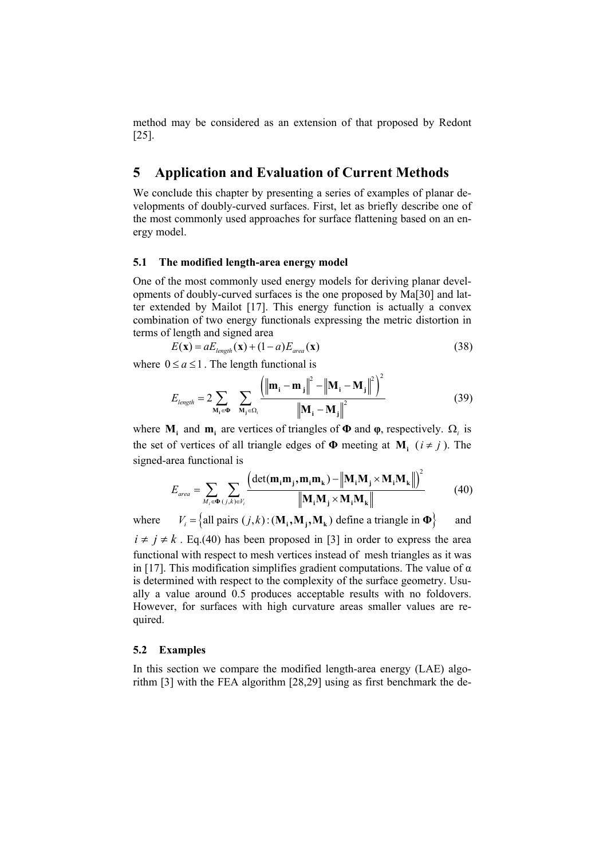method may be considered as an extension of that proposed by Redont [25].

# **5 Application and Evaluation of Current Methods**

We conclude this chapter by presenting a series of examples of planar developments of doubly-curved surfaces. First, let as briefly describe one of the most commonly used approaches for surface flattening based on an energy model.

#### **5.1 The modified length-area energy model**

One of the most commonly used energy models for deriving planar developments of doubly-curved surfaces is the one proposed by Ma[30] and latter extended by Mailot [17]. This energy function is actually a convex combination of two energy functionals expressing the metric distortion in terms of length and signed area

$$
E(\mathbf{x}) = aE_{length}(\mathbf{x}) + (1 - a)E_{area}(\mathbf{x})
$$
\n(38)

where  $0 \le a \le 1$ . The length functional is

$$
E_{length} = 2 \sum_{\mathbf{M}_{i} \in \mathbf{\Phi}} \sum_{\mathbf{M}_{j} \in \Omega_{i}} \frac{\left(\left\|\mathbf{m}_{i} - \mathbf{m}_{j}\right\|^{2} - \left\|\mathbf{M}_{i} - \mathbf{M}_{j}\right\|^{2}\right)^{2}}{\left\|\mathbf{M}_{i} - \mathbf{M}_{j}\right\|^{2}}
$$
(39)

where  $M_i$  and  $m_i$  are vertices of triangles of  $\Phi$  and  $\phi$ , respectively.  $\Omega_i$  is the set of vertices of all triangle edges of  $\Phi$  meeting at  $M_i$  ( $i \neq j$ ). The signed-area functional is

$$
E_{area} = \sum_{M_i \in \mathbf{O}} \sum_{(j,k) \in V_i} \frac{\left(\det(\mathbf{m}_i \mathbf{m}_j, \mathbf{m}_i \mathbf{m}_k) - \left\| \mathbf{M}_i \mathbf{M}_j \times \mathbf{M}_i \mathbf{M}_k \right\|\right)^2}{\left\| \mathbf{M}_i \mathbf{M}_j \times \mathbf{M}_i \mathbf{M}_k \right\|}
$$
(40)

where  $V_i = \{ \text{all pairs } (j, k) : (\mathbf{M}_i, \mathbf{M}_k) \text{ define a triangle in } \mathbf{\Phi} \}$  and

 $i \neq j \neq k$ . Eq.(40) has been proposed in [3] in order to express the area functional with respect to mesh vertices instead of mesh triangles as it was in [17]. This modification simplifies gradient computations. The value of  $\alpha$ is determined with respect to the complexity of the surface geometry. Usually a value around 0.5 produces acceptable results with no foldovers. However, for surfaces with high curvature areas smaller values are required.

#### **5.2 Examples**

In this section we compare the modified length-area energy (LAE) algorithm [3] with the FEA algorithm [28,29] using as first benchmark the de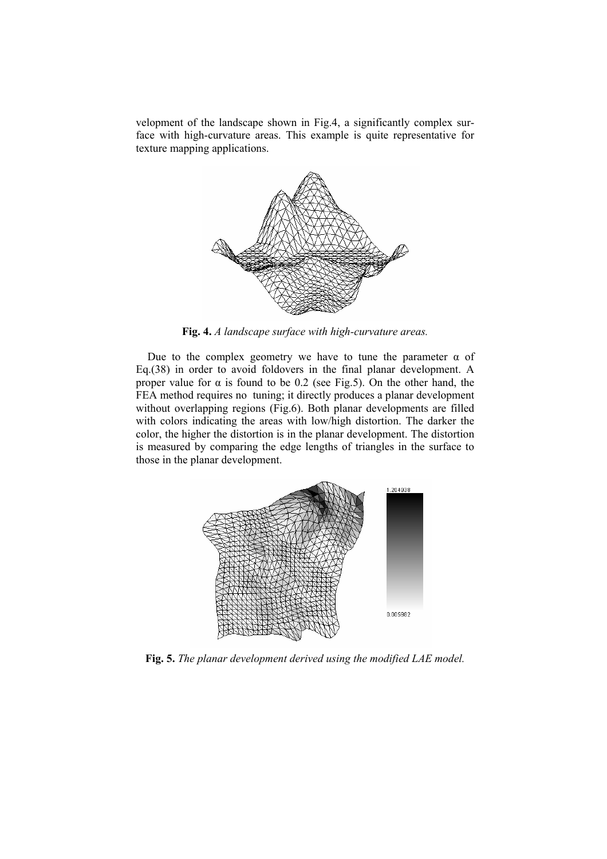velopment of the landscape shown in Fig.4, a significantly complex surface with high-curvature areas. This example is quite representative for texture mapping applications.



**Fig. 4.** *A landscape surface with high-curvature areas.* 

Due to the complex geometry we have to tune the parameter  $\alpha$  of Eq.(38) in order to avoid foldovers in the final planar development. A proper value for  $\alpha$  is found to be 0.2 (see Fig.5). On the other hand, the FEA method requires no tuning; it directly produces a planar development without overlapping regions (Fig.6). Both planar developments are filled with colors indicating the areas with low/high distortion. The darker the color, the higher the distortion is in the planar development. The distortion is measured by comparing the edge lengths of triangles in the surface to those in the planar development.



**Fig. 5.** *The planar development derived using the modified LAE model.*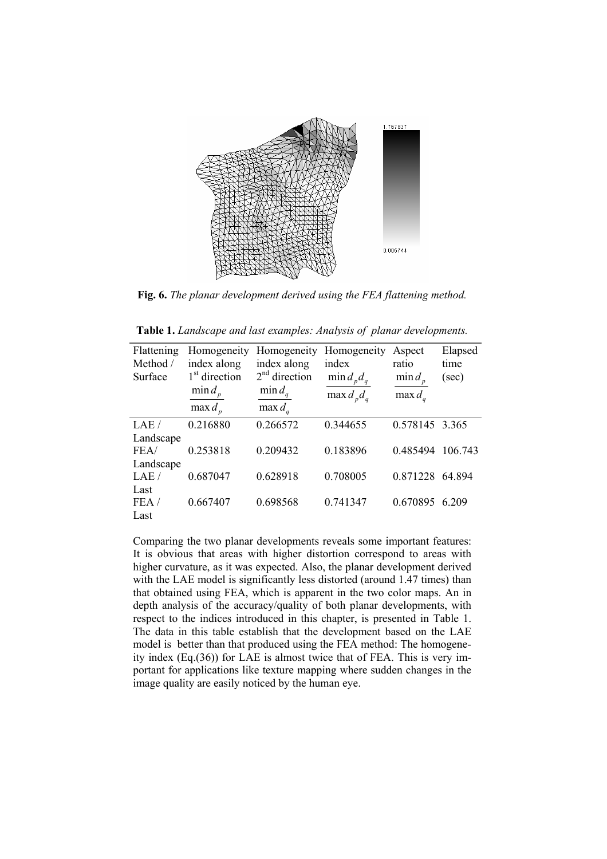

**Fig. 6.** *The planar development derived using the FEA flattening method.* 

| Flattening<br>Method / | Homogeneity<br>index along | Homogeneity<br>index along | Homogeneity<br>index | Aspect<br>ratio | Elapsed<br>time |
|------------------------|----------------------------|----------------------------|----------------------|-----------------|-----------------|
| Surface                | 1 <sup>st</sup> direction  | $2nd$ direction            | $\min d_p d_q$       | $\min d_p$      | (sec)           |
|                        | $\min d$                   | $\min d_a$                 | $\max d_n d_q$       | $\max d_a$      |                 |
|                        | $\max d_n$                 | max $d_a$                  |                      |                 |                 |
| LAE/                   | 0.216880                   | 0.266572                   | 0.344655             | 0.578145 3.365  |                 |
| Landscape              |                            |                            |                      |                 |                 |
| FEA/                   | 0.253818                   | 0.209432                   | 0.183896             | 0.485494        | 106.743         |
| Landscape              |                            |                            |                      |                 |                 |
| LAE/                   | 0.687047                   | 0.628918                   | 0.708005             | 0.871228        | 64 894          |
| Last                   |                            |                            |                      |                 |                 |
| FEA/                   | 0.667407                   | 0.698568                   | 0.741347             | 0.670895        | 6.209           |
| Last                   |                            |                            |                      |                 |                 |

**Table 1.** *Landscape and last examples: Analysis of planar developments.* 

Comparing the two planar developments reveals some important features: It is obvious that areas with higher distortion correspond to areas with higher curvature, as it was expected. Also, the planar development derived with the LAE model is significantly less distorted (around 1.47 times) than that obtained using FEA, which is apparent in the two color maps. An in depth analysis of the accuracy/quality of both planar developments, with respect to the indices introduced in this chapter, is presented in Table 1. The data in this table establish that the development based on the LAE model is better than that produced using the FEA method: The homogeneity index (Eq.(36)) for LAE is almost twice that of FEA. This is very important for applications like texture mapping where sudden changes in the image quality are easily noticed by the human eye.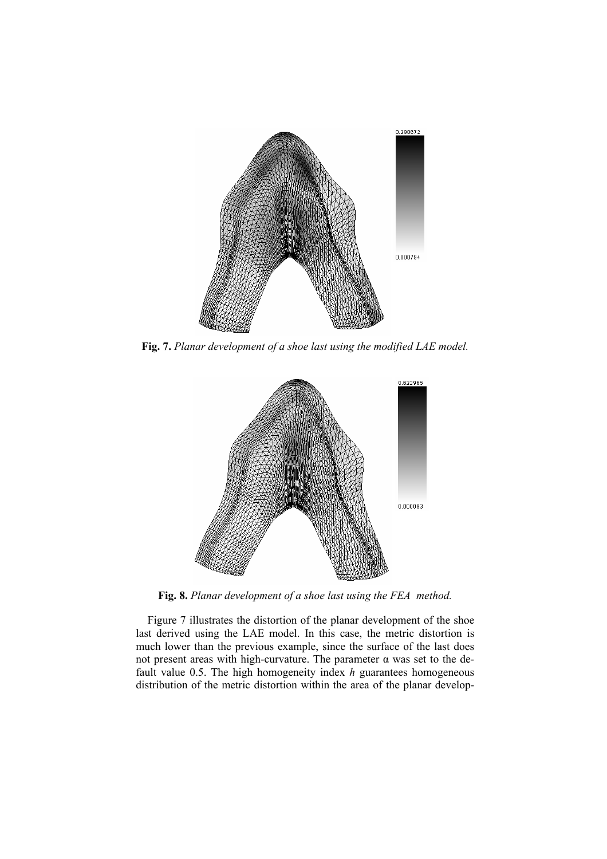

**Fig. 7.** *Planar development of a shoe last using the modified LAE model.* 



**Fig. 8.** *Planar development of a shoe last using the FEA method.* 

Figure 7 illustrates the distortion of the planar development of the shoe last derived using the LAE model. In this case, the metric distortion is much lower than the previous example, since the surface of the last does not present areas with high-curvature. The parameter α was set to the default value 0.5. The high homogeneity index *h* guarantees homogeneous distribution of the metric distortion within the area of the planar develop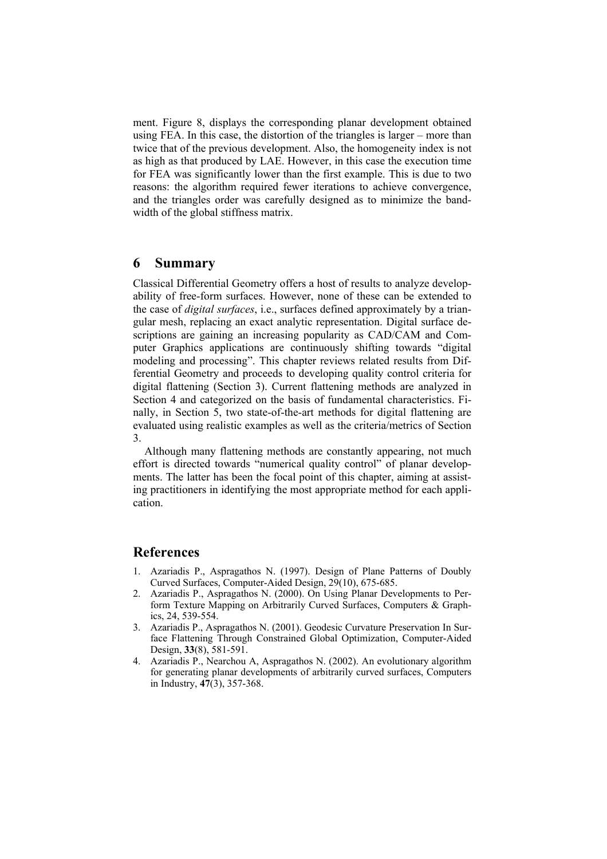ment. Figure 8, displays the corresponding planar development obtained using FEA. In this case, the distortion of the triangles is larger – more than twice that of the previous development. Also, the homogeneity index is not as high as that produced by LAE. However, in this case the execution time for FEA was significantly lower than the first example. This is due to two reasons: the algorithm required fewer iterations to achieve convergence, and the triangles order was carefully designed as to minimize the bandwidth of the global stiffness matrix.

# **6 Summary**

Classical Differential Geometry offers a host of results to analyze developability of free-form surfaces. However, none of these can be extended to the case of *digital surfaces*, i.e., surfaces defined approximately by a triangular mesh, replacing an exact analytic representation. Digital surface descriptions are gaining an increasing popularity as CAD/CAM and Computer Graphics applications are continuously shifting towards "digital modeling and processing". This chapter reviews related results from Differential Geometry and proceeds to developing quality control criteria for digital flattening (Section 3). Current flattening methods are analyzed in Section 4 and categorized on the basis of fundamental characteristics. Finally, in Section 5, two state-of-the-art methods for digital flattening are evaluated using realistic examples as well as the criteria/metrics of Section 3.

Although many flattening methods are constantly appearing, not much effort is directed towards "numerical quality control" of planar developments. The latter has been the focal point of this chapter, aiming at assisting practitioners in identifying the most appropriate method for each application.

# **References**

- 1. Azariadis P., Aspragathos N. (1997). Design of Plane Patterns of Doubly Curved Surfaces, Computer-Aided Design, 29(10), 675-685.
- 2. Azariadis P., Aspragathos N. (2000). On Using Planar Developments to Perform Texture Mapping on Arbitrarily Curved Surfaces, Computers & Graphics, 24, 539-554.
- 3. Azariadis P., Aspragathos N. (2001). Geodesic Curvature Preservation In Surface Flattening Through Constrained Global Optimization, Computer-Aided Design, **33**(8), 581-591.
- 4. Azariadis P., Nearchou A, Aspragathos N. (2002). An evolutionary algorithm for generating planar developments of arbitrarily curved surfaces, Computers in Industry, **47**(3), 357-368.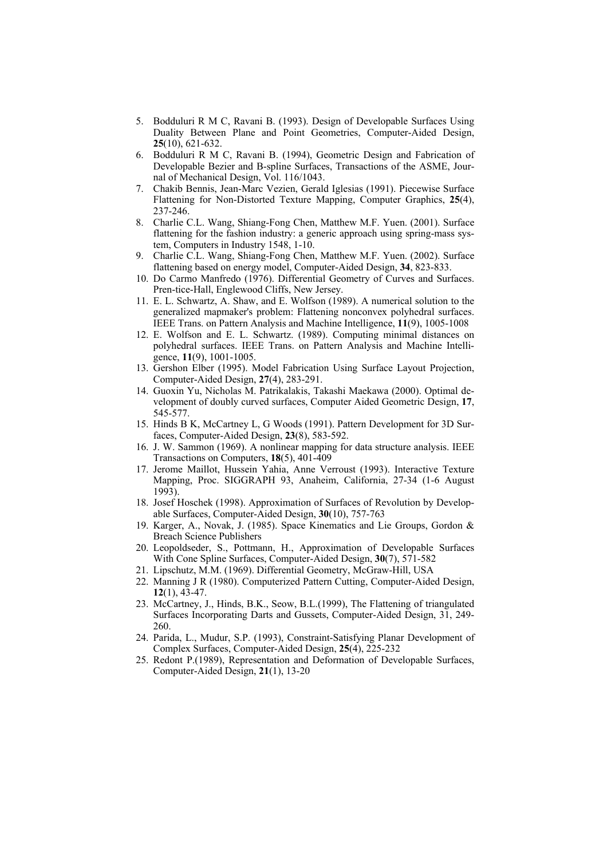- 5. Bodduluri R M C, Ravani B. (1993). Design of Developable Surfaces Using Duality Between Plane and Point Geometries, Computer-Aided Design, **25**(10), 621-632.
- 6. Bodduluri R M C, Ravani B. (1994), Geometric Design and Fabrication of Developable Bezier and B-spline Surfaces, Transactions of the ASME, Journal of Mechanical Design, Vol. 116/1043.
- 7. Chakib Bennis, Jean-Marc Vezien, Gerald Iglesias (1991). Piecewise Surface Flattening for Non-Distorted Texture Mapping, Computer Graphics, **25**(4), 237-246.
- 8. Charlie C.L. Wang, Shiang-Fong Chen, Matthew M.F. Yuen. (2001). Surface flattening for the fashion industry: a generic approach using spring-mass system, Computers in Industry 1548, 1-10.
- 9. Charlie C.L. Wang, Shiang-Fong Chen, Matthew M.F. Yuen. (2002). Surface flattening based on energy model, Computer-Aided Design, **34**, 823-833.
- 10. Do Carmo Manfredo (1976). Differential Geometry of Curves and Surfaces. Pren-tice-Hall, Englewood Cliffs, New Jersey.
- 11. E. L. Schwartz, A. Shaw, and E. Wolfson (1989). A numerical solution to the generalized mapmaker's problem: Flattening nonconvex polyhedral surfaces. IEEE Trans. on Pattern Analysis and Machine Intelligence, **11**(9), 1005-1008
- 12. E. Wolfson and E. L. Schwartz. (1989). Computing minimal distances on polyhedral surfaces. IEEE Trans. on Pattern Analysis and Machine Intelligence, **11**(9), 1001-1005.
- 13. Gershon Elber (1995). Model Fabrication Using Surface Layout Projection, Computer-Aided Design, **27**(4), 283-291.
- 14. Guoxin Yu, Nicholas M. Patrikalakis, Takashi Maekawa (2000). Optimal development of doubly curved surfaces, Computer Aided Geometric Design, **17**, 545-577.
- 15. Hinds B K, McCartney L, G Woods (1991). Pattern Development for 3D Surfaces, Computer-Aided Design, **23**(8), 583-592.
- 16. J. W. Sammon (1969). A nonlinear mapping for data structure analysis. IEEE Transactions on Computers, **18**(5), 401-409
- 17. Jerome Maillot, Hussein Yahia, Anne Verroust (1993). Interactive Texture Mapping, Proc. SIGGRAPH 93, Anaheim, California, 27-34 (1-6 August 1993).
- 18. Josef Hoschek (1998). Approximation of Surfaces of Revolution by Developable Surfaces, Computer-Aided Design, **30**(10), 757-763
- 19. Karger, A., Novak, J. (1985). Space Kinematics and Lie Groups, Gordon & Breach Science Publishers
- 20. Leopoldseder, S., Pottmann, H., Approximation of Developable Surfaces With Cone Spline Surfaces, Computer-Aided Design, **30**(7), 571-582
- 21. Lipschutz, M.M. (1969). Differential Geometry, McGraw-Hill, USA
- 22. Manning J R (1980). Computerized Pattern Cutting, Computer-Aided Design, **12**(1), 43-47.
- 23. McCartney, J., Hinds, B.K., Seow, B.L.(1999), The Flattening of triangulated Surfaces Incorporating Darts and Gussets, Computer-Aided Design, 31, 249- 260.
- 24. Parida, L., Mudur, S.P. (1993), Constraint-Satisfying Planar Development of Complex Surfaces, Computer-Aided Design, **25**(4), 225-232
- 25. Redont P.(1989), Representation and Deformation of Developable Surfaces, Computer-Aided Design, **21**(1), 13-20